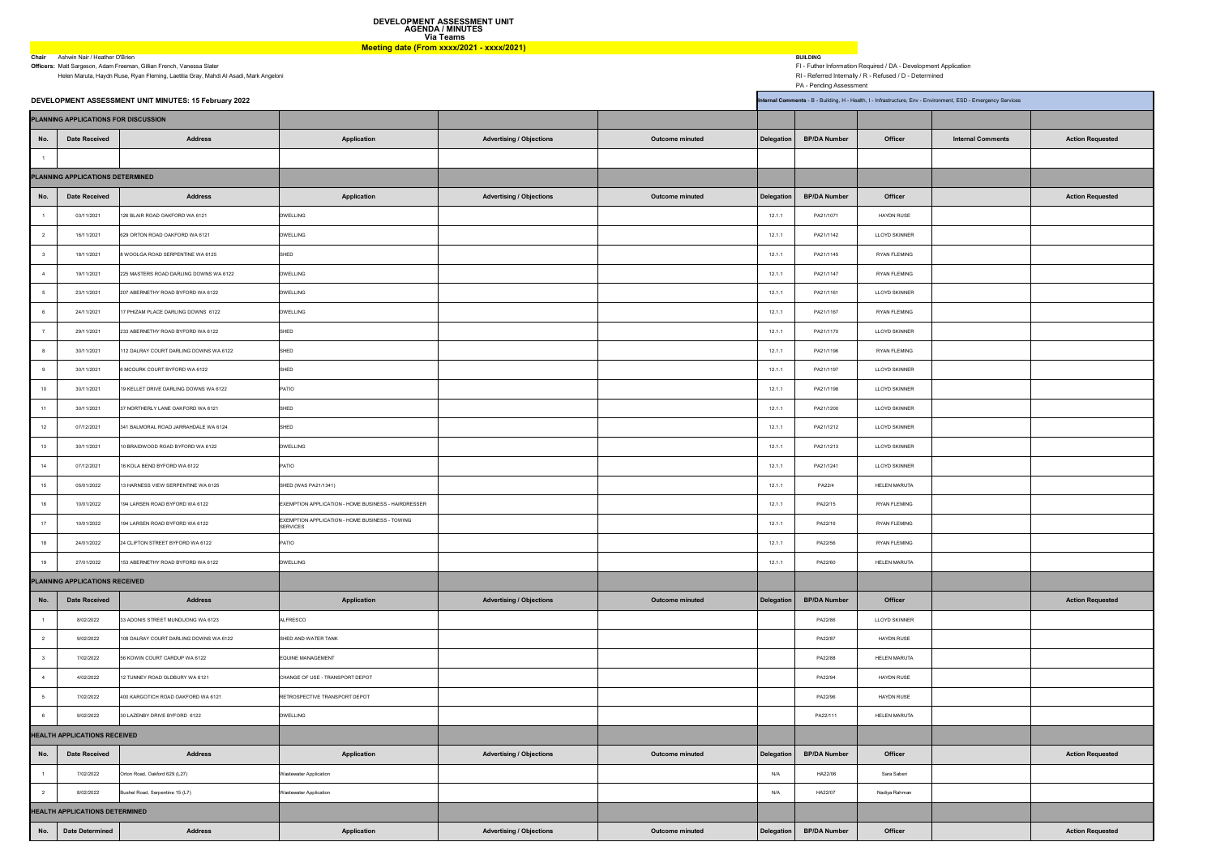Helen Maruta, Haydn Ruse, Ryan Fleming, Laetitia Gray, Mahdi Al Asadi, Mark Angeloni RI - Referred Internally / R - Refused / D - Determined

PA - Pending Assessment

|                                     | DEVELOPMENT ASSESSMENT UNIT MINUTES: 15 February 2022<br>Internal Comments - B - Building, H - Health, I - Infrastructure, Env - Environment, ESD - Emergency Services |                                        |                                                                   |                                 |                        |            |                     |                      |                          |                         |  |
|-------------------------------------|------------------------------------------------------------------------------------------------------------------------------------------------------------------------|----------------------------------------|-------------------------------------------------------------------|---------------------------------|------------------------|------------|---------------------|----------------------|--------------------------|-------------------------|--|
|                                     | PLANNING APPLICATIONS FOR DISCUSSION                                                                                                                                   |                                        |                                                                   |                                 |                        |            |                     |                      |                          |                         |  |
| No.                                 | <b>Date Received</b>                                                                                                                                                   | <b>Address</b>                         | <b>Application</b>                                                | <b>Advertising / Objections</b> | <b>Outcome minuted</b> | Delegation | <b>BP/DA Number</b> | <b>Officer</b>       | <b>Internal Comments</b> | <b>Action Requested</b> |  |
|                                     |                                                                                                                                                                        |                                        |                                                                   |                                 |                        |            |                     |                      |                          |                         |  |
| PLANNING APPLICATIONS DETERMINED    |                                                                                                                                                                        |                                        |                                                                   |                                 |                        |            |                     |                      |                          |                         |  |
| No.                                 | Date Received                                                                                                                                                          | <b>Address</b>                         | <b>Application</b>                                                | <b>Advertising / Objections</b> | <b>Outcome minuted</b> | Delegation | <b>BP/DA Number</b> | <b>Officer</b>       |                          | <b>Action Requested</b> |  |
|                                     | 03/11/2021                                                                                                                                                             | 126 BLAIR ROAD OAKFORD WA 6121         | <b>DWELLING</b>                                                   |                                 |                        | 12.1.1     | PA21/1071           | <b>HAYDN RUSE</b>    |                          |                         |  |
|                                     | 16/11/2021                                                                                                                                                             | 629 ORTON ROAD OAKFORD WA 6121         | <b>DWELLING</b>                                                   |                                 |                        | 12.1.1     | PA21/1142           | <b>LLOYD SKINNER</b> |                          |                         |  |
|                                     | 18/11/2021                                                                                                                                                             | 8 WOOLGA ROAD SERPENTINE WA 6125       | <b>SHED</b>                                                       |                                 |                        | 12.1.1     | PA21/1145           | <b>RYAN FLEMING</b>  |                          |                         |  |
|                                     | 19/11/2021                                                                                                                                                             | 225 MASTERS ROAD DARLING DOWNS WA 6122 | <b>DWELLING</b>                                                   |                                 |                        | 12.1.1     | PA21/1147           | <b>RYAN FLEMING</b>  |                          |                         |  |
|                                     | 23/11/2021                                                                                                                                                             | 207 ABERNETHY ROAD BYFORD WA 6122      | <b>DWELLING</b>                                                   |                                 |                        | 12.1.1     | PA21/1161           | <b>LLOYD SKINNER</b> |                          |                         |  |
|                                     | 24/11/2021                                                                                                                                                             | 17 PHIZAM PLACE DARLING DOWNS 6122     | <b>DWELLING</b>                                                   |                                 |                        | 12.1.1     | PA21/1167           | <b>RYAN FLEMING</b>  |                          |                         |  |
|                                     | 29/11/2021                                                                                                                                                             | 233 ABERNETHY ROAD BYFORD WA 6122      | <b>SHED</b>                                                       |                                 |                        | 12.1.1     | PA21/1170           | <b>LLOYD SKINNER</b> |                          |                         |  |
|                                     | 30/11/2021                                                                                                                                                             | 112 DALRAY COURT DARLING DOWNS WA 6122 | <b>SHED</b>                                                       |                                 |                        | 12.1.1     | PA21/1196           | <b>RYAN FLEMING</b>  |                          |                         |  |
|                                     | 30/11/2021                                                                                                                                                             | 6 MCGURK COURT BYFORD WA 6122          | SHED                                                              |                                 |                        | 12.1.1     | PA21/1197           | <b>LLOYD SKINNER</b> |                          |                         |  |
| 10                                  | 30/11/2021                                                                                                                                                             | 19 KELLET DRIVE DARLING DOWNS WA 6122  | PATIO                                                             |                                 |                        | 12.1.1     | PA21/1198           | <b>LLOYD SKINNER</b> |                          |                         |  |
| 11                                  | 30/11/2021                                                                                                                                                             | 37 NORTHERLY LANE OAKFORD WA 6121      | <b>SHED</b>                                                       |                                 |                        | 12.1.1     | PA21/1200           | <b>LLOYD SKINNER</b> |                          |                         |  |
| 12                                  | 07/12/2021                                                                                                                                                             | 341 BALMORAL ROAD JARRAHDALE WA 6124   | <b>SHED</b>                                                       |                                 |                        | 12.1.1     | PA21/1212           | <b>LLOYD SKINNER</b> |                          |                         |  |
| 13                                  | 30/11/2021                                                                                                                                                             | 10 BRAIDWOOD ROAD BYFORD WA 6122       | <b>DWELLING</b>                                                   |                                 |                        | 12.1.1     | PA21/1213           | <b>LLOYD SKINNER</b> |                          |                         |  |
| 14                                  | 07/12/2021                                                                                                                                                             | 16 KOLA BEND BYFORD WA 6122            | PATIO                                                             |                                 |                        | 12.1.1     | PA21/1241           | <b>LLOYD SKINNER</b> |                          |                         |  |
| 15                                  | 05/01/2022                                                                                                                                                             | 13 HARNESS VIEW SERPENTINE WA 6125     | SHED (WAS PA21/1341)                                              |                                 |                        | 12.1.1     | PA22/4              | <b>HELEN MARUTA</b>  |                          |                         |  |
| 16                                  | 10/01/2022                                                                                                                                                             | 194 LARSEN ROAD BYFORD WA 6122         | EXEMPTION APPLICATION - HOME BUSINESS - HAIRDRESSER               |                                 |                        | 12.1.1     | PA22/15             | <b>RYAN FLEMING</b>  |                          |                         |  |
| 17                                  | 10/01/2022                                                                                                                                                             | 194 LARSEN ROAD BYFORD WA 6122         | EXEMPTION APPLICATION - HOME BUSINESS - TOWING<br><b>SERVICES</b> |                                 |                        | 12.1.1     | PA22/16             | <b>RYAN FLEMING</b>  |                          |                         |  |
| 18                                  | 24/01/2022                                                                                                                                                             | 24 CLIFTON STREET BYFORD WA 6122       | <b>PATIO</b>                                                      |                                 |                        | 12.1.1     | PA22/56             | <b>RYAN FLEMING</b>  |                          |                         |  |
| 19                                  | 27/01/2022                                                                                                                                                             | 153 ABERNETHY ROAD BYFORD WA 6122      | <b>DWELLING</b>                                                   |                                 |                        | 12.1.1     | PA22/60             | <b>HELEN MARUTA</b>  |                          |                         |  |
| PLANNING APPLICATIONS RECEIVED      |                                                                                                                                                                        |                                        |                                                                   |                                 |                        |            |                     |                      |                          |                         |  |
| No.                                 | <b>Date Received</b>                                                                                                                                                   | <b>Address</b>                         | <b>Application</b>                                                | <b>Advertising / Objections</b> | <b>Outcome minuted</b> | Delegation | <b>BP/DA Number</b> | <b>Officer</b>       |                          | <b>Action Requested</b> |  |
|                                     | 8/02/2022                                                                                                                                                              | 33 ADONIS STREET MUNDIJONG WA 6123     | <b>ALFRESCO</b>                                                   |                                 |                        |            | PA22/86             | <b>LLOYD SKINNER</b> |                          |                         |  |
|                                     | 9/02/2022                                                                                                                                                              | 108 DALRAY COURT DARLING DOWNS WA 6122 | SHED AND WATER TANK                                               |                                 |                        |            | PA22/87             | <b>HAYDN RUSE</b>    |                          |                         |  |
|                                     | 7/02/2022                                                                                                                                                              | 56 KOWIN COURT CARDUP WA 6122          | EQUINE MANAGEMENT                                                 |                                 |                        |            | PA22/88             | <b>HELEN MARUTA</b>  |                          |                         |  |
|                                     | 4/02/2022                                                                                                                                                              | 12 TUNNEY ROAD OLDBURY WA 6121         | CHANGE OF USE - TRANSPORT DEPOT                                   |                                 |                        |            | PA22/94             | <b>HAYDN RUSE</b>    |                          |                         |  |
|                                     | 7/02/2022                                                                                                                                                              | 400 KARGOTICH ROAD OAKFORD WA 6121     | RETROSPECTIVE TRANSPORT DEPOT                                     |                                 |                        |            | PA22/96             | <b>HAYDN RUSE</b>    |                          |                         |  |
|                                     | 9/02/2022                                                                                                                                                              | 30 LAZENBY DRIVE BYFORD 6122           | <b>DWELLING</b>                                                   |                                 |                        |            | PA22/111            | <b>HELEN MARUTA</b>  |                          |                         |  |
| <b>HEALTH APPLICATIONS RECEIVED</b> |                                                                                                                                                                        |                                        |                                                                   |                                 |                        |            |                     |                      |                          |                         |  |
| No.                                 | <b>Date Received</b>                                                                                                                                                   | <b>Address</b>                         | <b>Application</b>                                                | <b>Advertising / Objections</b> | <b>Outcome minuted</b> | Delegation | <b>BP/DA Number</b> | <b>Officer</b>       |                          | <b>Action Requested</b> |  |
|                                     | 7/02/2022                                                                                                                                                              | Orton Road, Oakford 629 (L27)          | <b>Wastewater Application</b>                                     |                                 |                        | N/A        | HA22/06             | Sara Saberi          |                          |                         |  |
|                                     | 8/02/2022                                                                                                                                                              | Bushel Road, Serpentine 15 (L7)        | <b>Wastewater Application</b>                                     |                                 |                        | N/A        | HA22/07             | Nadiya Rahman        |                          |                         |  |
|                                     | <b>HEALTH APPLICATIONS DETERMINED</b>                                                                                                                                  |                                        |                                                                   |                                 |                        |            |                     |                      |                          |                         |  |
| No.                                 | <b>Date Determined</b>                                                                                                                                                 | <b>Address</b>                         | <b>Application</b>                                                | <b>Advertising / Objections</b> | <b>Outcome minuted</b> | Delegation | <b>BP/DA Number</b> | <b>Officer</b>       |                          | <b>Action Requested</b> |  |

ergen and the Ashwin Nair / Heather O'Brien Ashwin Nair / Heather O'Brien Ashwin Nair / Heather O'Brien Ashwin Nair / Heather O'Brien and Communication of the active of the Manageson, Adam Freeman, Gillian French, Vanessa **Officers:** Matt Sargeson, Adam Freeman, Gillian French, Vanessa Slater